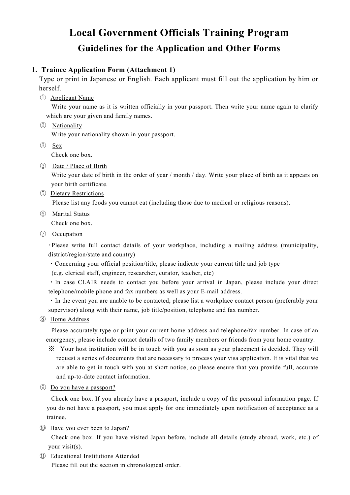## **Local Government Officials Training Program Guidelines for the Application and Other Forms**

## **1. Trainee Application Form (Attachment 1)**

 Type or print in Japanese or English. Each applicant must fill out the application by him or herself.

① Applicant Name

Write your name as it is written officially in your passport. Then write your name again to clarify which are your given and family names.

- ② Nationality Write your nationality shown in your passport.
- ③ Sex

Check one box.

③ Date / Place of Birth

Write your date of birth in the order of year / month / day. Write your place of birth as it appears on your birth certificate.

⑤ Dietary Restrictions

Please list any foods you cannot eat (including those due to medical or religious reasons).

⑥ Marital Status

Check one box.

⑦ Occupation

・Please write full contact details of your workplace, including a mailing address (municipality, district/region/state and country)

・Concerning your official position/title, please indicate your current title and job type

(e.g. clerical staff, engineer, researcher, curator, teacher, etc)

・In case CLAIR needs to contact you before your arrival in Japan, please include your direct telephone/mobile phone and fax numbers as well as your E-mail address.

・In the event you are unable to be contacted, please list a workplace contact person (preferably your supervisor) along with their name, job title/position, telephone and fax number.

⑧ Home Address

Please accurately type or print your current home address and telephone/fax number. In case of an emergency, please include contact details of two family members or friends from your home country.

- ※ Your host institution will be in touch with you as soon as your placement is decided. They will request a series of documents that are necessary to process your visa application. It is vital that we are able to get in touch with you at short notice, so please ensure that you provide full, accurate and up-to-date contact information.
- ⑨ Do you have a passport?

Check one box. If you already have a passport, include a copy of the personal information page. If you do not have a passport, you must apply for one immediately upon notification of acceptance as a trainee.

⑩ Have you ever been to Japan?

Check one box. If you have visited Japan before, include all details (study abroad, work, etc.) of your visit(s).

⑪ Educational Institutions Attended

Please fill out the section in chronological order.